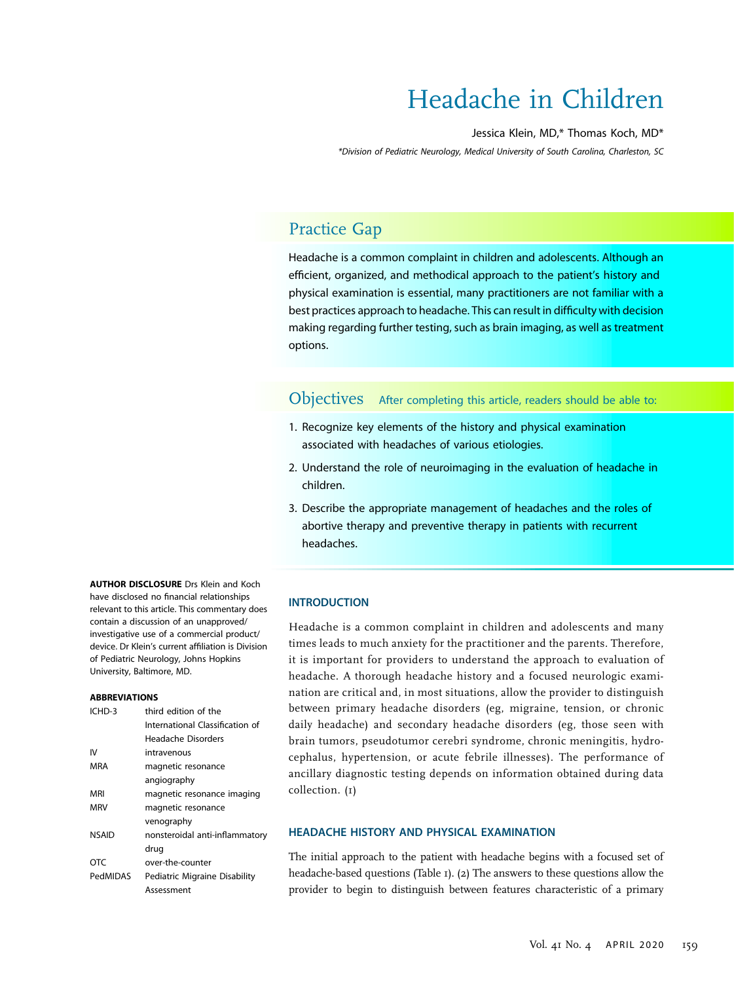# Headache in Children

#### Jessica Klein, MD,\* Thomas Koch, MD\*

\*Division of Pediatric Neurology, Medical University of South Carolina, Charleston, SC

# Practice Gap

Headache is a common complaint in children and adolescents. Although an efficient, organized, and methodical approach to the patient's history and physical examination is essential, many practitioners are not familiar with a best practices approach to headache. This can result in difficulty with decision making regarding further testing, such as brain imaging, as well as treatment options.

Objectives After completing this article, readers should be able to:

- 1. Recognize key elements of the history and physical examination associated with headaches of various etiologies.
- 2. Understand the role of neuroimaging in the evaluation of headache in children.
- 3. Describe the appropriate management of headaches and the roles of abortive therapy and preventive therapy in patients with recurrent headaches.

#### **INTRODUCTION**

Headache is a common complaint in children and adolescents and many times leads to much anxiety for the practitioner and the parents. Therefore, it is important for providers to understand the approach to evaluation of headache. A thorough headache history and a focused neurologic examination are critical and, in most situations, allow the provider to distinguish between primary headache disorders (eg, migraine, tension, or chronic daily headache) and secondary headache disorders (eg, those seen with brain tumors, pseudotumor cerebri syndrome, chronic meningitis, hydrocephalus, hypertension, or acute febrile illnesses). The performance of ancillary diagnostic testing depends on information obtained during data collection. (1)

#### HEADACHE HISTORY AND PHYSICAL EXAMINATION

The initial approach to the patient with headache begins with a focused set of headache-based questions (Table 1). (2) The answers to these questions allow the provider to begin to distinguish between features characteristic of a primary

**AUTHOR DISCLOSURE Drs Klein and Koch** have disclosed no financial relationships relevant to this article. This commentary does contain a discussion of an unapproved/ investigative use of a commercial product/ device. Dr Klein's current affiliation is Division of Pediatric Neurology, Johns Hopkins University, Baltimore, MD.

#### ABBREVIATIONS

| ICHD-3       | third edition of the            |  |
|--------------|---------------------------------|--|
|              | International Classification of |  |
|              | Headache Disorders              |  |
| IV           | intravenous                     |  |
| MRA          | magnetic resonance              |  |
|              | angiography                     |  |
| MRI          | magnetic resonance imaging      |  |
| <b>MRV</b>   | magnetic resonance              |  |
|              | venography                      |  |
| <b>NSAID</b> | nonsteroidal anti-inflammatory  |  |
|              | drug                            |  |
| OTC          | over-the-counter                |  |
| PedMIDAS     | Pediatric Migraine Disability   |  |
|              | Assessment                      |  |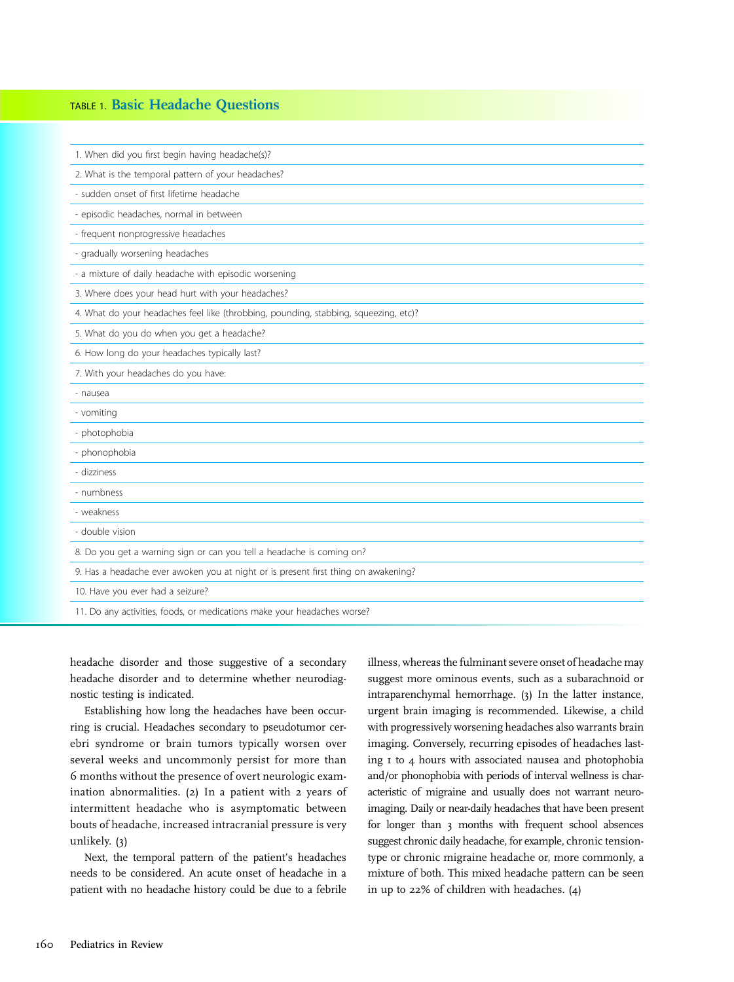#### TABLE 1. Basic Headache Questions

| 1. When did you first begin having headache(s)?                                      |
|--------------------------------------------------------------------------------------|
| 2. What is the temporal pattern of your headaches?                                   |
| - sudden onset of first lifetime headache                                            |
| - episodic headaches, normal in between                                              |
| - frequent nonprogressive headaches                                                  |
| - gradually worsening headaches                                                      |
| - a mixture of daily headache with episodic worsening                                |
| 3. Where does your head hurt with your headaches?                                    |
| 4. What do your headaches feel like (throbbing, pounding, stabbing, squeezing, etc)? |
| 5. What do you do when you get a headache?                                           |
| 6. How long do your headaches typically last?                                        |
| 7. With your headaches do you have:                                                  |
|                                                                                      |
| - nausea                                                                             |
| - vomiting                                                                           |
| - photophobia                                                                        |
| - phonophobia                                                                        |
| - dizziness                                                                          |
| - numbness                                                                           |
| - weakness                                                                           |
| - double vision                                                                      |
| 8. Do you get a warning sign or can you tell a headache is coming on?                |
| 9. Has a headache ever awoken you at night or is present first thing on awakening?   |
| 10. Have you ever had a seizure?                                                     |

headache disorder and those suggestive of a secondary headache disorder and to determine whether neurodiagnostic testing is indicated.

Establishing how long the headaches have been occurring is crucial. Headaches secondary to pseudotumor cerebri syndrome or brain tumors typically worsen over several weeks and uncommonly persist for more than 6 months without the presence of overt neurologic examination abnormalities. (2) In a patient with 2 years of intermittent headache who is asymptomatic between bouts of headache, increased intracranial pressure is very unlikely. (3)

Next, the temporal pattern of the patient's headaches needs to be considered. An acute onset of headache in a patient with no headache history could be due to a febrile illness, whereas the fulminant severe onset of headache may suggest more ominous events, such as a subarachnoid or intraparenchymal hemorrhage. (3) In the latter instance, urgent brain imaging is recommended. Likewise, a child with progressively worsening headaches also warrants brain imaging. Conversely, recurring episodes of headaches lasting 1 to 4 hours with associated nausea and photophobia and/or phonophobia with periods of interval wellness is characteristic of migraine and usually does not warrant neuroimaging. Daily or near-daily headaches that have been present for longer than 3 months with frequent school absences suggest chronic daily headache, for example, chronic tensiontype or chronic migraine headache or, more commonly, a mixture of both. This mixed headache pattern can be seen in up to 22% of children with headaches. (4)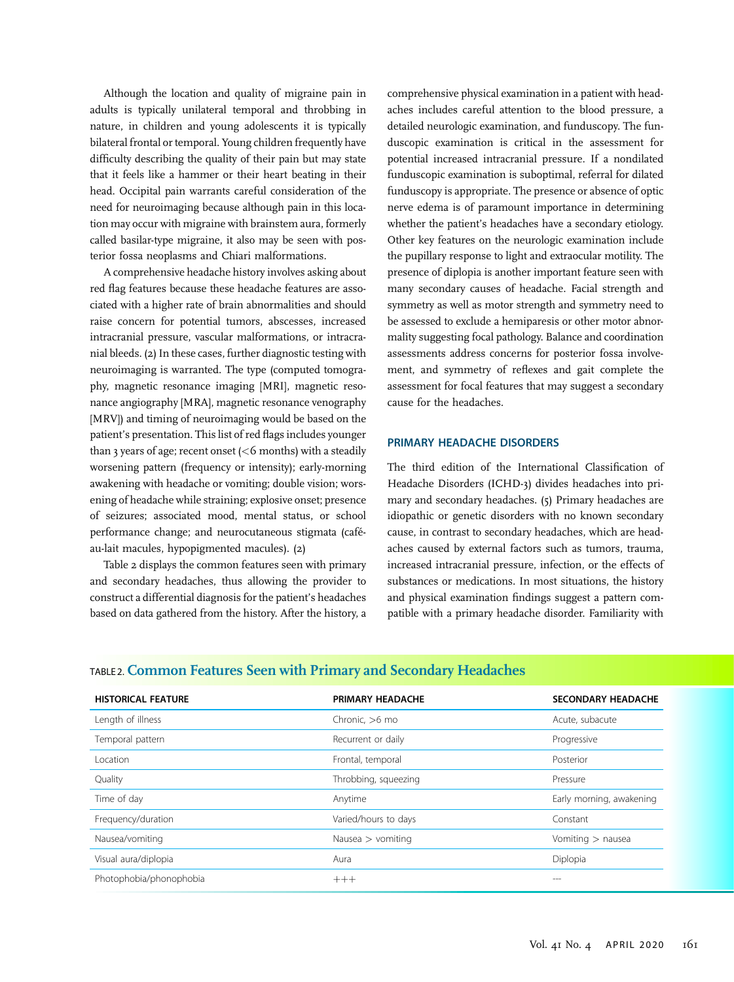Although the location and quality of migraine pain in adults is typically unilateral temporal and throbbing in nature, in children and young adolescents it is typically bilateral frontal or temporal. Young children frequently have difficulty describing the quality of their pain but may state that it feels like a hammer or their heart beating in their head. Occipital pain warrants careful consideration of the need for neuroimaging because although pain in this location may occur with migraine with brainstem aura, formerly called basilar-type migraine, it also may be seen with posterior fossa neoplasms and Chiari malformations.

A comprehensive headache history involves asking about red flag features because these headache features are associated with a higher rate of brain abnormalities and should raise concern for potential tumors, abscesses, increased intracranial pressure, vascular malformations, or intracranial bleeds. (2) In these cases, further diagnostic testing with neuroimaging is warranted. The type (computed tomography, magnetic resonance imaging [MRI], magnetic resonance angiography [MRA], magnetic resonance venography [MRV]) and timing of neuroimaging would be based on the patient's presentation. This list of red flags includes younger than 3 years of age; recent onset  $(<$  6 months) with a steadily worsening pattern (frequency or intensity); early-morning awakening with headache or vomiting; double vision; worsening of headache while straining; explosive onset; presence of seizures; associated mood, mental status, or school performance change; and neurocutaneous stigmata (caféau-lait macules, hypopigmented macules). (2)

Table 2 displays the common features seen with primary and secondary headaches, thus allowing the provider to construct a differential diagnosis for the patient's headaches based on data gathered from the history. After the history, a

comprehensive physical examination in a patient with headaches includes careful attention to the blood pressure, a detailed neurologic examination, and funduscopy. The funduscopic examination is critical in the assessment for potential increased intracranial pressure. If a nondilated funduscopic examination is suboptimal, referral for dilated funduscopy is appropriate. The presence or absence of optic nerve edema is of paramount importance in determining whether the patient's headaches have a secondary etiology. Other key features on the neurologic examination include the pupillary response to light and extraocular motility. The presence of diplopia is another important feature seen with many secondary causes of headache. Facial strength and symmetry as well as motor strength and symmetry need to be assessed to exclude a hemiparesis or other motor abnormality suggesting focal pathology. Balance and coordination assessments address concerns for posterior fossa involvement, and symmetry of reflexes and gait complete the assessment for focal features that may suggest a secondary cause for the headaches.

#### PRIMARY HEADACHE DISORDERS

The third edition of the International Classification of Headache Disorders (ICHD-3) divides headaches into primary and secondary headaches. (5) Primary headaches are idiopathic or genetic disorders with no known secondary cause, in contrast to secondary headaches, which are headaches caused by external factors such as tumors, trauma, increased intracranial pressure, infection, or the effects of substances or medications. In most situations, the history and physical examination findings suggest a pattern compatible with a primary headache disorder. Familiarity with

| <b>HISTORICAL FEATURE</b> | PRIMARY HEADACHE     | <b>SECONDARY HEADACHE</b> |
|---------------------------|----------------------|---------------------------|
| Length of illness         | Chronic, $>6$ mo     | Acute, subacute           |
| Temporal pattern          | Recurrent or daily   | Progressive               |
| Location                  | Frontal, temporal    | Posterior                 |
| Quality                   | Throbbing, squeezing | Pressure                  |
| Time of day               | Anytime              | Early morning, awakening  |
| Frequency/duration        | Varied/hours to days | Constant                  |
| Nausea/vomiting           | Nausea $>$ vomiting  | Vomiting > nausea         |
| Visual aura/diplopia      | Aura                 | Diplopia                  |
| Photophobia/phonophobia   | $+++$                | ---                       |

#### TABLE 2. Common Features Seen with Primary and Secondary Headaches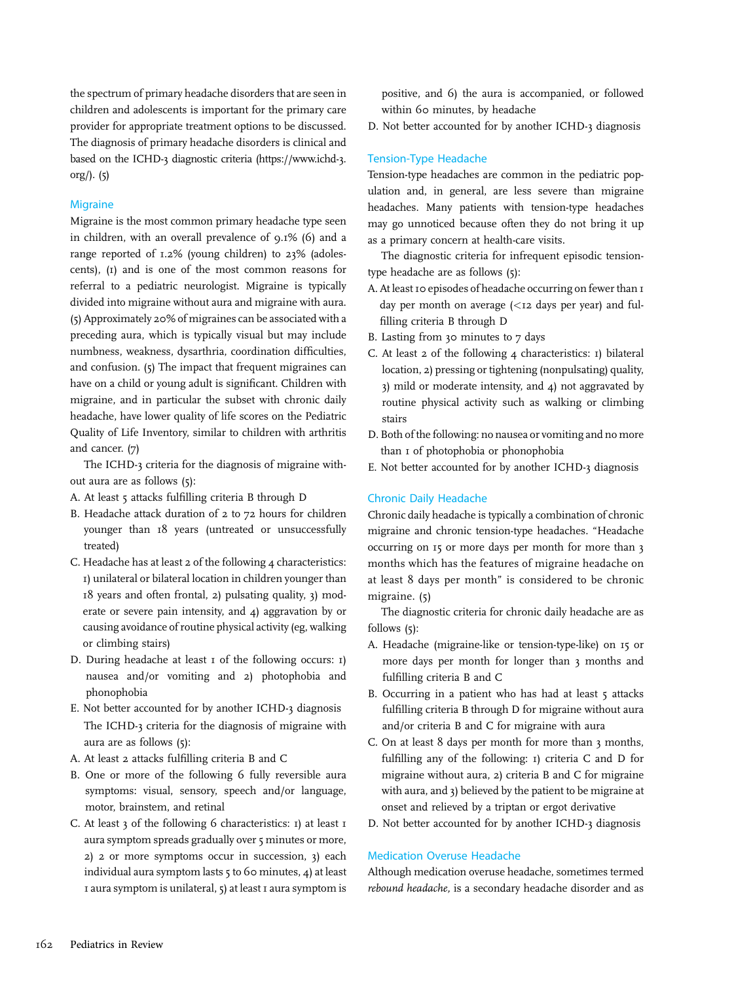the spectrum of primary headache disorders that are seen in children and adolescents is important for the primary care provider for appropriate treatment options to be discussed. The diagnosis of primary headache disorders is clinical and based on the ICHD-3 diagnostic criteria [\(https://www.ichd-3.](https://www.ichd-3.org/) [org/](https://www.ichd-3.org/)). (5)

#### **Migraine**

Migraine is the most common primary headache type seen in children, with an overall prevalence of 9.1% (6) and a range reported of 1.2% (young children) to 23% (adolescents), (1) and is one of the most common reasons for referral to a pediatric neurologist. Migraine is typically divided into migraine without aura and migraine with aura. (5) Approximately 20% of migraines can be associated with a preceding aura, which is typically visual but may include numbness, weakness, dysarthria, coordination difficulties, and confusion. (5) The impact that frequent migraines can have on a child or young adult is significant. Children with migraine, and in particular the subset with chronic daily headache, have lower quality of life scores on the Pediatric Quality of Life Inventory, similar to children with arthritis and cancer. (7)

The ICHD-3 criteria for the diagnosis of migraine without aura are as follows (5):

- A. At least 5 attacks fulfilling criteria B through D
- B. Headache attack duration of 2 to 72 hours for children younger than 18 years (untreated or unsuccessfully treated)
- C. Headache has at least 2 of the following 4 characteristics: 1) unilateral or bilateral location in children younger than 18 years and often frontal, 2) pulsating quality, 3) moderate or severe pain intensity, and 4) aggravation by or causing avoidance of routine physical activity (eg, walking or climbing stairs)
- D. During headache at least  $I$  of the following occurs:  $I$ ) nausea and/or vomiting and 2) photophobia and phonophobia
- E. Not better accounted for by another ICHD-3 diagnosis The ICHD-3 criteria for the diagnosis of migraine with aura are as follows (5):
- A. At least 2 attacks fulfilling criteria B and C
- B. One or more of the following 6 fully reversible aura symptoms: visual, sensory, speech and/or language, motor, brainstem, and retinal
- C. At least  $3$  of the following 6 characteristics:  $1$ ) at least  $1$ aura symptom spreads gradually over 5 minutes or more, 2) 2 or more symptoms occur in succession, 3) each individual aura symptom lasts 5 to 60 minutes, 4) at least 1 aura symptom is unilateral, 5) at least 1 aura symptom is

positive, and 6) the aura is accompanied, or followed within 60 minutes, by headache

D. Not better accounted for by another ICHD-3 diagnosis

#### Tension-Type Headache

Tension-type headaches are common in the pediatric population and, in general, are less severe than migraine headaches. Many patients with tension-type headaches may go unnoticed because often they do not bring it up as a primary concern at health-care visits.

The diagnostic criteria for infrequent episodic tensiontype headache are as follows (5):

- A. At least 10 episodes of headache occurring on fewer than 1 day per month on average  $\left($  <12 days per year) and fulfilling criteria B through D
- B. Lasting from 30 minutes to 7 days
- C. At least 2 of the following 4 characteristics: 1) bilateral location, 2) pressing or tightening (nonpulsating) quality, 3) mild or moderate intensity, and 4) not aggravated by routine physical activity such as walking or climbing stairs
- D. Both of the following: no nausea or vomiting and no more than 1 of photophobia or phonophobia
- E. Not better accounted for by another ICHD-3 diagnosis

#### Chronic Daily Headache

Chronic daily headache is typically a combination of chronic migraine and chronic tension-type headaches. "Headache occurring on 15 or more days per month for more than 3 months which has the features of migraine headache on at least 8 days per month" is considered to be chronic migraine. (5)

The diagnostic criteria for chronic daily headache are as follows (5):

- A. Headache (migraine-like or tension-type-like) on 15 or more days per month for longer than 3 months and fulfilling criteria B and C
- B. Occurring in a patient who has had at least 5 attacks fulfilling criteria B through D for migraine without aura and/or criteria B and C for migraine with aura
- C. On at least 8 days per month for more than 3 months, fulfilling any of the following: 1) criteria C and D for migraine without aura, 2) criteria B and C for migraine with aura, and 3) believed by the patient to be migraine at onset and relieved by a triptan or ergot derivative
- D. Not better accounted for by another ICHD-3 diagnosis

#### Medication Overuse Headache

Although medication overuse headache, sometimes termed rebound headache, is a secondary headache disorder and as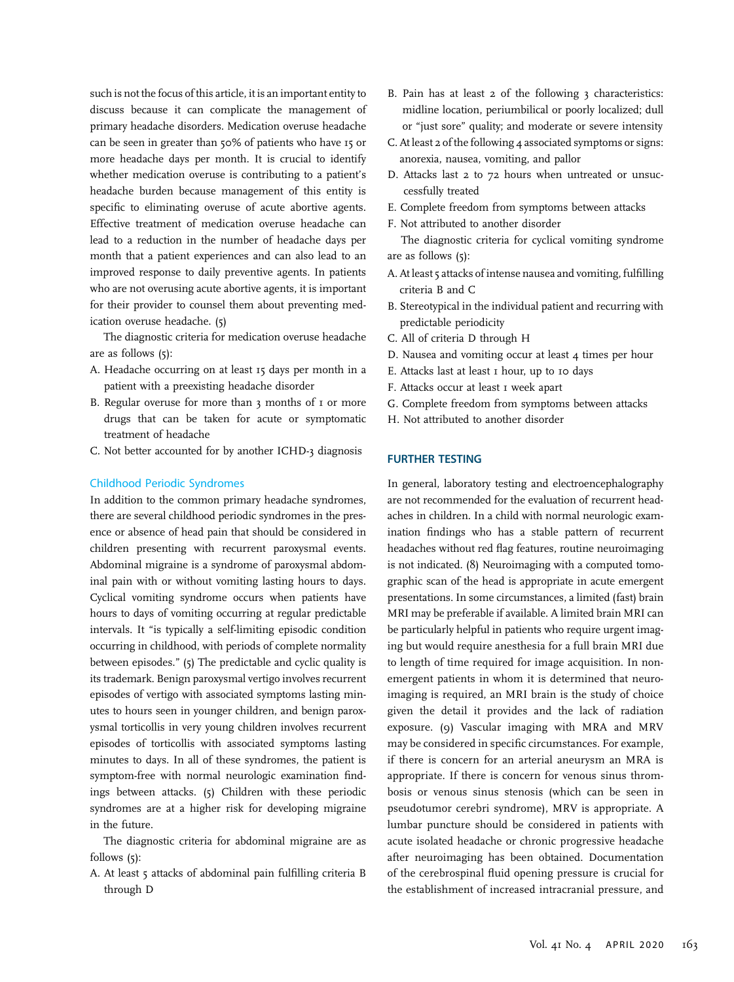such is not the focus of this article, it is an important entity to discuss because it can complicate the management of primary headache disorders. Medication overuse headache can be seen in greater than 50% of patients who have 15 or more headache days per month. It is crucial to identify whether medication overuse is contributing to a patient's headache burden because management of this entity is specific to eliminating overuse of acute abortive agents. Effective treatment of medication overuse headache can lead to a reduction in the number of headache days per month that a patient experiences and can also lead to an improved response to daily preventive agents. In patients who are not overusing acute abortive agents, it is important for their provider to counsel them about preventing medication overuse headache. (5)

The diagnostic criteria for medication overuse headache are as follows (5):

- A. Headache occurring on at least 15 days per month in a patient with a preexisting headache disorder
- B. Regular overuse for more than 3 months of 1 or more drugs that can be taken for acute or symptomatic treatment of headache
- C. Not better accounted for by another ICHD-3 diagnosis

#### Childhood Periodic Syndromes

In addition to the common primary headache syndromes, there are several childhood periodic syndromes in the presence or absence of head pain that should be considered in children presenting with recurrent paroxysmal events. Abdominal migraine is a syndrome of paroxysmal abdominal pain with or without vomiting lasting hours to days. Cyclical vomiting syndrome occurs when patients have hours to days of vomiting occurring at regular predictable intervals. It "is typically a self-limiting episodic condition occurring in childhood, with periods of complete normality between episodes." (5) The predictable and cyclic quality is its trademark. Benign paroxysmal vertigo involves recurrent episodes of vertigo with associated symptoms lasting minutes to hours seen in younger children, and benign paroxysmal torticollis in very young children involves recurrent episodes of torticollis with associated symptoms lasting minutes to days. In all of these syndromes, the patient is symptom-free with normal neurologic examination findings between attacks. (5) Children with these periodic syndromes are at a higher risk for developing migraine in the future.

The diagnostic criteria for abdominal migraine are as follows (5):

A. At least 5 attacks of abdominal pain fulfilling criteria B through D

- B. Pain has at least 2 of the following 3 characteristics: midline location, periumbilical or poorly localized; dull or "just sore" quality; and moderate or severe intensity
- C. At least 2 of the following 4 associated symptoms or signs: anorexia, nausea, vomiting, and pallor
- D. Attacks last 2 to 72 hours when untreated or unsuccessfully treated
- E. Complete freedom from symptoms between attacks
- F. Not attributed to another disorder The diagnostic criteria for cyclical vomiting syndrome are as follows (5):
- A. At least 5 attacks of intense nausea and vomiting, fulfilling criteria B and C
- B. Stereotypical in the individual patient and recurring with predictable periodicity
- C. All of criteria D through H
- D. Nausea and vomiting occur at least 4 times per hour
- E. Attacks last at least 1 hour, up to 10 days
- F. Attacks occur at least 1 week apart
- G. Complete freedom from symptoms between attacks
- H. Not attributed to another disorder

#### FURTHER TESTING

In general, laboratory testing and electroencephalography are not recommended for the evaluation of recurrent headaches in children. In a child with normal neurologic examination findings who has a stable pattern of recurrent headaches without red flag features, routine neuroimaging is not indicated. (8) Neuroimaging with a computed tomographic scan of the head is appropriate in acute emergent presentations. In some circumstances, a limited (fast) brain MRI may be preferable if available. A limited brain MRI can be particularly helpful in patients who require urgent imaging but would require anesthesia for a full brain MRI due to length of time required for image acquisition. In nonemergent patients in whom it is determined that neuroimaging is required, an MRI brain is the study of choice given the detail it provides and the lack of radiation exposure. (9) Vascular imaging with MRA and MRV may be considered in specific circumstances. For example, if there is concern for an arterial aneurysm an MRA is appropriate. If there is concern for venous sinus thrombosis or venous sinus stenosis (which can be seen in pseudotumor cerebri syndrome), MRV is appropriate. A lumbar puncture should be considered in patients with acute isolated headache or chronic progressive headache after neuroimaging has been obtained. Documentation of the cerebrospinal fluid opening pressure is crucial for the establishment of increased intracranial pressure, and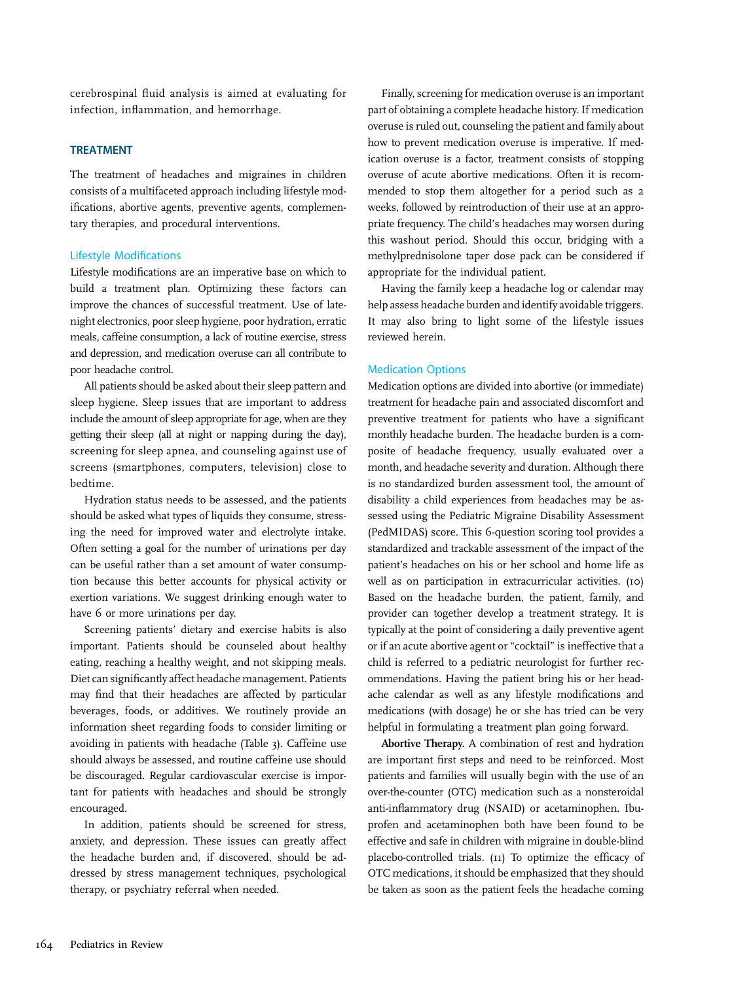cerebrospinal fluid analysis is aimed at evaluating for infection, inflammation, and hemorrhage.

#### TREATMENT

The treatment of headaches and migraines in children consists of a multifaceted approach including lifestyle modifications, abortive agents, preventive agents, complementary therapies, and procedural interventions.

#### Lifestyle Modifications

Lifestyle modifications are an imperative base on which to build a treatment plan. Optimizing these factors can improve the chances of successful treatment. Use of latenight electronics, poor sleep hygiene, poor hydration, erratic meals, caffeine consumption, a lack of routine exercise, stress and depression, and medication overuse can all contribute to poor headache control.

All patients should be asked about their sleep pattern and sleep hygiene. Sleep issues that are important to address include the amount of sleep appropriate for age, when are they getting their sleep (all at night or napping during the day), screening for sleep apnea, and counseling against use of screens (smartphones, computers, television) close to bedtime.

Hydration status needs to be assessed, and the patients should be asked what types of liquids they consume, stressing the need for improved water and electrolyte intake. Often setting a goal for the number of urinations per day can be useful rather than a set amount of water consumption because this better accounts for physical activity or exertion variations. We suggest drinking enough water to have 6 or more urinations per day.

Screening patients' dietary and exercise habits is also important. Patients should be counseled about healthy eating, reaching a healthy weight, and not skipping meals. Diet can significantly affect headache management. Patients may find that their headaches are affected by particular beverages, foods, or additives. We routinely provide an information sheet regarding foods to consider limiting or avoiding in patients with headache (Table 3). Caffeine use should always be assessed, and routine caffeine use should be discouraged. Regular cardiovascular exercise is important for patients with headaches and should be strongly encouraged.

In addition, patients should be screened for stress, anxiety, and depression. These issues can greatly affect the headache burden and, if discovered, should be addressed by stress management techniques, psychological therapy, or psychiatry referral when needed.

Finally, screening for medication overuse is an important part of obtaining a complete headache history. If medication overuse is ruled out, counseling the patient and family about how to prevent medication overuse is imperative. If medication overuse is a factor, treatment consists of stopping overuse of acute abortive medications. Often it is recommended to stop them altogether for a period such as 2 weeks, followed by reintroduction of their use at an appropriate frequency. The child's headaches may worsen during this washout period. Should this occur, bridging with a methylprednisolone taper dose pack can be considered if appropriate for the individual patient.

Having the family keep a headache log or calendar may help assess headache burden and identify avoidable triggers. It may also bring to light some of the lifestyle issues reviewed herein.

#### Medication Options

Medication options are divided into abortive (or immediate) treatment for headache pain and associated discomfort and preventive treatment for patients who have a significant monthly headache burden. The headache burden is a composite of headache frequency, usually evaluated over a month, and headache severity and duration. Although there is no standardized burden assessment tool, the amount of disability a child experiences from headaches may be assessed using the Pediatric Migraine Disability Assessment (PedMIDAS) score. This 6-question scoring tool provides a standardized and trackable assessment of the impact of the patient's headaches on his or her school and home life as well as on participation in extracurricular activities. (10) Based on the headache burden, the patient, family, and provider can together develop a treatment strategy. It is typically at the point of considering a daily preventive agent or if an acute abortive agent or "cocktail" is ineffective that a child is referred to a pediatric neurologist for further recommendations. Having the patient bring his or her headache calendar as well as any lifestyle modifications and medications (with dosage) he or she has tried can be very helpful in formulating a treatment plan going forward.

Abortive Therapy. A combination of rest and hydration are important first steps and need to be reinforced. Most patients and families will usually begin with the use of an over-the-counter (OTC) medication such as a nonsteroidal anti-inflammatory drug (NSAID) or acetaminophen. Ibuprofen and acetaminophen both have been found to be effective and safe in children with migraine in double-blind placebo-controlled trials. (11) To optimize the efficacy of OTC medications, it should be emphasized that they should be taken as soon as the patient feels the headache coming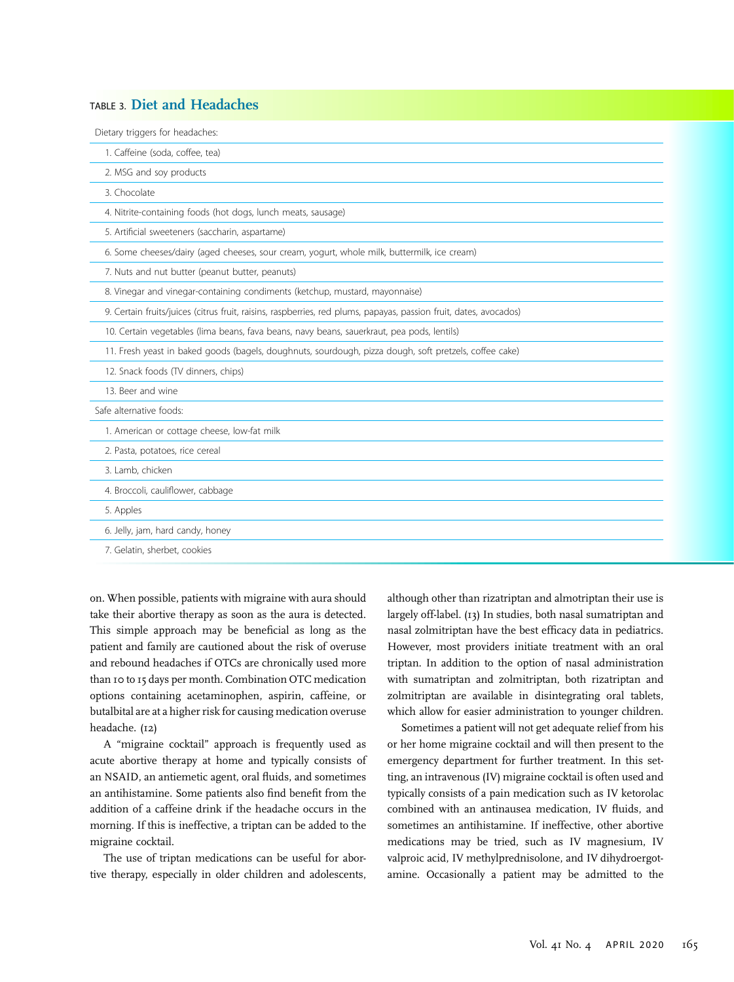#### TABLE 3. Diet and Headaches

| Dietary triggers for headaches:                                                                                   |
|-------------------------------------------------------------------------------------------------------------------|
| 1. Caffeine (soda, coffee, tea)                                                                                   |
| 2. MSG and soy products                                                                                           |
| 3. Chocolate                                                                                                      |
| 4. Nitrite-containing foods (hot dogs, lunch meats, sausage)                                                      |
| 5. Artificial sweeteners (saccharin, aspartame)                                                                   |
| 6. Some cheeses/dairy (aged cheeses, sour cream, yogurt, whole milk, buttermilk, ice cream)                       |
| 7. Nuts and nut butter (peanut butter, peanuts)                                                                   |
| 8. Vinegar and vinegar-containing condiments (ketchup, mustard, mayonnaise)                                       |
| 9. Certain fruits/juices (citrus fruit, raisins, raspberries, red plums, papayas, passion fruit, dates, avocados) |
| 10. Certain vegetables (lima beans, fava beans, navy beans, sauerkraut, pea pods, lentils)                        |
| 11. Fresh yeast in baked goods (bagels, doughnuts, sourdough, pizza dough, soft pretzels, coffee cake)            |
| 12. Snack foods (TV dinners, chips)                                                                               |
| 13. Beer and wine                                                                                                 |
| Safe alternative foods:                                                                                           |
| 1. American or cottage cheese, low-fat milk                                                                       |
| 2. Pasta, potatoes, rice cereal                                                                                   |
| 3. Lamb, chicken                                                                                                  |
| 4. Broccoli, cauliflower, cabbage                                                                                 |
| 5. Apples                                                                                                         |
| 6. Jelly, jam, hard candy, honey                                                                                  |
| 7. Gelatin, sherbet, cookies                                                                                      |

on. When possible, patients with migraine with aura should take their abortive therapy as soon as the aura is detected. This simple approach may be beneficial as long as the patient and family are cautioned about the risk of overuse and rebound headaches if OTCs are chronically used more than 10 to 15 days per month. Combination OTC medication options containing acetaminophen, aspirin, caffeine, or butalbital are at a higher risk for causing medication overuse headache. (12)

A "migraine cocktail" approach is frequently used as acute abortive therapy at home and typically consists of an NSAID, an antiemetic agent, oral fluids, and sometimes an antihistamine. Some patients also find benefit from the addition of a caffeine drink if the headache occurs in the morning. If this is ineffective, a triptan can be added to the migraine cocktail.

The use of triptan medications can be useful for abortive therapy, especially in older children and adolescents,

although other than rizatriptan and almotriptan their use is largely off-label. (13) In studies, both nasal sumatriptan and nasal zolmitriptan have the best efficacy data in pediatrics. However, most providers initiate treatment with an oral triptan. In addition to the option of nasal administration with sumatriptan and zolmitriptan, both rizatriptan and zolmitriptan are available in disintegrating oral tablets, which allow for easier administration to younger children.

Sometimes a patient will not get adequate relief from his or her home migraine cocktail and will then present to the emergency department for further treatment. In this setting, an intravenous (IV) migraine cocktail is often used and typically consists of a pain medication such as IV ketorolac combined with an antinausea medication, IV fluids, and sometimes an antihistamine. If ineffective, other abortive medications may be tried, such as IV magnesium, IV valproic acid, IV methylprednisolone, and IV dihydroergotamine. Occasionally a patient may be admitted to the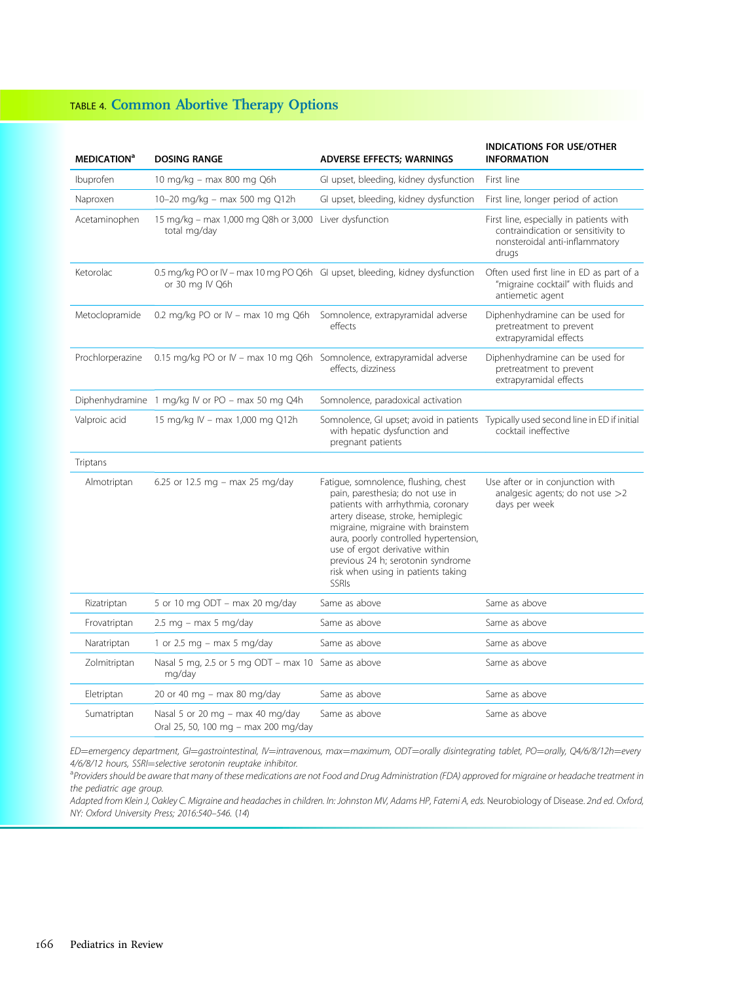# TABLE 4. Common Abortive Therapy Options

| <b>MEDICATION<sup>a</sup></b> | <b>DOSING RANGE</b>                                                                             | <b>ADVERSE EFFECTS; WARNINGS</b>                                                                                                                                                                                                                                                                                                                                | <b>INDICATIONS FOR USE/OTHER</b><br><b>INFORMATION</b>                                                                   |
|-------------------------------|-------------------------------------------------------------------------------------------------|-----------------------------------------------------------------------------------------------------------------------------------------------------------------------------------------------------------------------------------------------------------------------------------------------------------------------------------------------------------------|--------------------------------------------------------------------------------------------------------------------------|
| Ibuprofen                     | 10 mg/kg - max 800 mg Q6h                                                                       | GI upset, bleeding, kidney dysfunction                                                                                                                                                                                                                                                                                                                          | First line                                                                                                               |
| Naproxen                      | 10-20 mg/kg - max 500 mg Q12h                                                                   | GI upset, bleeding, kidney dysfunction                                                                                                                                                                                                                                                                                                                          | First line, longer period of action                                                                                      |
| Acetaminophen                 | 15 mg/kg - max 1,000 mg Q8h or 3,000 Liver dysfunction<br>total mg/day                          |                                                                                                                                                                                                                                                                                                                                                                 | First line, especially in patients with<br>contraindication or sensitivity to<br>nonsteroidal anti-inflammatory<br>drugs |
| Ketorolac                     | 0.5 mg/kg PO or IV - max 10 mg PO Q6h GI upset, bleeding, kidney dysfunction<br>or 30 mg IV Q6h |                                                                                                                                                                                                                                                                                                                                                                 | Often used first line in ED as part of a<br>"migraine cocktail" with fluids and<br>antiemetic agent                      |
| Metoclopramide                | 0.2 mg/kg PO or IV - max 10 mg Q6h Somnolence, extrapyramidal adverse                           | effects                                                                                                                                                                                                                                                                                                                                                         | Diphenhydramine can be used for<br>pretreatment to prevent<br>extrapyramidal effects                                     |
| Prochlorperazine              | 0.15 mg/kg PO or IV - max 10 mg Q6h Somnolence, extrapyramidal adverse                          | effects, dizziness                                                                                                                                                                                                                                                                                                                                              | Diphenhydramine can be used for<br>pretreatment to prevent<br>extrapyramidal effects                                     |
|                               | Diphenhydramine 1 mg/kg IV or PO - max 50 mg Q4h                                                | Somnolence, paradoxical activation                                                                                                                                                                                                                                                                                                                              |                                                                                                                          |
| Valproic acid                 | 15 mg/kg IV - max 1,000 mg Q12h                                                                 | Somnolence, GI upset; avoid in patients Typically used second line in ED if initial<br>with hepatic dysfunction and<br>pregnant patients                                                                                                                                                                                                                        | cocktail ineffective                                                                                                     |
| Triptans                      |                                                                                                 |                                                                                                                                                                                                                                                                                                                                                                 |                                                                                                                          |
| Almotriptan                   | 6.25 or 12.5 mg - max 25 mg/day                                                                 | Fatigue, somnolence, flushing, chest<br>pain, paresthesia; do not use in<br>patients with arrhythmia, coronary<br>artery disease, stroke, hemiplegic<br>migraine, migraine with brainstem<br>aura, poorly controlled hypertension,<br>use of ergot derivative within<br>previous 24 h; serotonin syndrome<br>risk when using in patients taking<br><b>SSRIs</b> | Use after or in conjunction with<br>analgesic agents; do not use $>2$<br>days per week                                   |
| Rizatriptan                   | 5 or 10 mg ODT - max 20 mg/day                                                                  | Same as above                                                                                                                                                                                                                                                                                                                                                   | Same as above                                                                                                            |
| Frovatriptan                  | $2.5$ mg - max 5 mg/day                                                                         | Same as above                                                                                                                                                                                                                                                                                                                                                   | Same as above                                                                                                            |
| Naratriptan                   | 1 or 2.5 mg $-$ max 5 mg/day                                                                    | Same as above                                                                                                                                                                                                                                                                                                                                                   | Same as above                                                                                                            |
| Zolmitriptan                  | Nasal 5 mg, 2.5 or 5 mg ODT - max 10 Same as above<br>mg/day                                    |                                                                                                                                                                                                                                                                                                                                                                 | Same as above                                                                                                            |
| Eletriptan                    | 20 or 40 mg - max 80 mg/day                                                                     | Same as above                                                                                                                                                                                                                                                                                                                                                   | Same as above                                                                                                            |
| Sumatriptan                   | Nasal 5 or 20 mg $-$ max 40 mg/day<br>Oral 25, 50, 100 mg - max 200 mg/day                      | Same as above                                                                                                                                                                                                                                                                                                                                                   | Same as above                                                                                                            |

ED=emergency department, GI=gastrointestinal, IV=intravenous, max=maximum, ODT=orally disintegrating tablet, PO=orally, Q4/6/8/12h=every 4/6/8/12 hours, SSRI=selective serotonin reuptake inhibitor.

<sup>a</sup> Providers should be aware that many of these medications are not Food and Drug Administration (FDA) approved for migraine or headache treatment in the pediatric age group.

Adapted from Klein J, Oakley C. Migraine and headaches in children. In: Johnston MV, Adams HP, Fatemi A, eds. Neurobiology of Disease. 2nd ed. Oxford, NY: Oxford University Press; 2016:540–546. (14)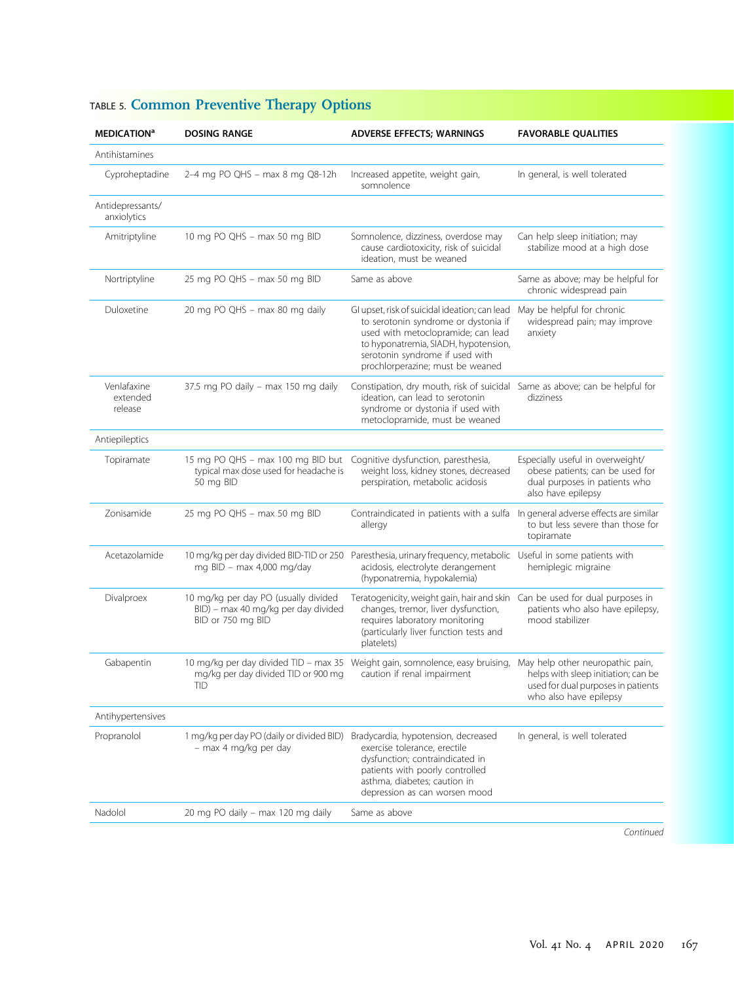| <b>MEDICATION<sup>a</sup></b>      | <b>DOSING RANGE</b>                                                                              | <b>ADVERSE EFFECTS; WARNINGS</b>                                                                                                                                                                                                           | <b>FAVORABLE QUALITIES</b>                                                                                                              |
|------------------------------------|--------------------------------------------------------------------------------------------------|--------------------------------------------------------------------------------------------------------------------------------------------------------------------------------------------------------------------------------------------|-----------------------------------------------------------------------------------------------------------------------------------------|
| Antihistamines                     |                                                                                                  |                                                                                                                                                                                                                                            |                                                                                                                                         |
| Cyproheptadine                     | 2-4 mg PO QHS - max 8 mg Q8-12h                                                                  | Increased appetite, weight gain,<br>somnolence                                                                                                                                                                                             | In general, is well tolerated                                                                                                           |
| Antidepressants/<br>anxiolytics    |                                                                                                  |                                                                                                                                                                                                                                            |                                                                                                                                         |
| Amitriptyline                      | 10 mg PO QHS - max 50 mg BID                                                                     | Somnolence, dizziness, overdose may<br>cause cardiotoxicity, risk of suicidal<br>ideation, must be weaned                                                                                                                                  | Can help sleep initiation; may<br>stabilize mood at a high dose                                                                         |
| Nortriptyline                      | 25 mg PO QHS - max 50 mg BID                                                                     | Same as above                                                                                                                                                                                                                              | Same as above; may be helpful for<br>chronic widespread pain                                                                            |
| Duloxetine                         | 20 mg PO QHS - max 80 mg daily                                                                   | GI upset, risk of suicidal ideation; can lead<br>to serotonin syndrome or dystonia if<br>used with metoclopramide; can lead<br>to hyponatremia, SIADH, hypotension,<br>serotonin syndrome if used with<br>prochlorperazine; must be weaned | May be helpful for chronic<br>widespread pain; may improve<br>anxiety                                                                   |
| Venlafaxine<br>extended<br>release | 37.5 mg PO daily - max 150 mg daily                                                              | Constipation, dry mouth, risk of suicidal Same as above; can be helpful for<br>ideation, can lead to serotonin<br>syndrome or dystonia if used with<br>metoclopramide, must be weaned                                                      | dizziness                                                                                                                               |
| Antiepileptics                     |                                                                                                  |                                                                                                                                                                                                                                            |                                                                                                                                         |
| Topiramate                         | 15 mg PO QHS - max 100 mg BID but<br>typical max dose used for headache is<br>50 mg BID          | Cognitive dysfunction, paresthesia,<br>weight loss, kidney stones, decreased<br>perspiration, metabolic acidosis                                                                                                                           | Especially useful in overweight/<br>obese patients; can be used for<br>dual purposes in patients who<br>also have epilepsy              |
| Zonisamide                         | 25 mg PO QHS - max 50 mg BID                                                                     | Contraindicated in patients with a sulfa<br>allergy                                                                                                                                                                                        | In general adverse effects are similar<br>to but less severe than those for<br>topiramate                                               |
| Acetazolamide                      | 10 mg/kg per day divided BID-TID or 250<br>mg BID - max 4,000 mg/day                             | Paresthesia, urinary frequency, metabolic Useful in some patients with<br>acidosis, electrolyte derangement<br>(hyponatremia, hypokalemia)                                                                                                 | hemiplegic migraine                                                                                                                     |
| Divalproex                         | 10 mg/kg per day PO (usually divided<br>BID) - max 40 mg/kg per day divided<br>BID or 750 mg BID | Teratogenicity, weight gain, hair and skin Can be used for dual purposes in<br>changes, tremor, liver dysfunction,<br>requires laboratory monitoring<br>(particularly liver function tests and<br>platelets)                               | patients who also have epilepsy,<br>mood stabilizer                                                                                     |
| Gabapentin                         | mg/kg per day divided TID or 900 mg<br>ШD                                                        | 10 mg/kg per day divided TID - max 35 Weight gain, somnolence, easy bruising,<br>caution if renal impairment                                                                                                                               | May help other neuropathic pain,<br>helps with sleep initiation; can be<br>used for dual purposes in patients<br>who also have epilepsy |
| Antihypertensives                  |                                                                                                  |                                                                                                                                                                                                                                            |                                                                                                                                         |
| Propranolol                        | 1 mg/kg per day PO (daily or divided BID)<br>- max 4 mg/kg per day                               | Bradycardia, hypotension, decreased<br>exercise tolerance, erectile<br>dysfunction; contraindicated in<br>patients with poorly controlled<br>asthma, diabetes; caution in<br>depression as can worsen mood                                 | In general, is well tolerated                                                                                                           |
| Nadolol                            | 20 mg PO daily - max 120 mg daily                                                                | Same as above                                                                                                                                                                                                                              |                                                                                                                                         |
|                                    |                                                                                                  |                                                                                                                                                                                                                                            |                                                                                                                                         |

# TABLE 5. Common Preventive Therapy Options

Continued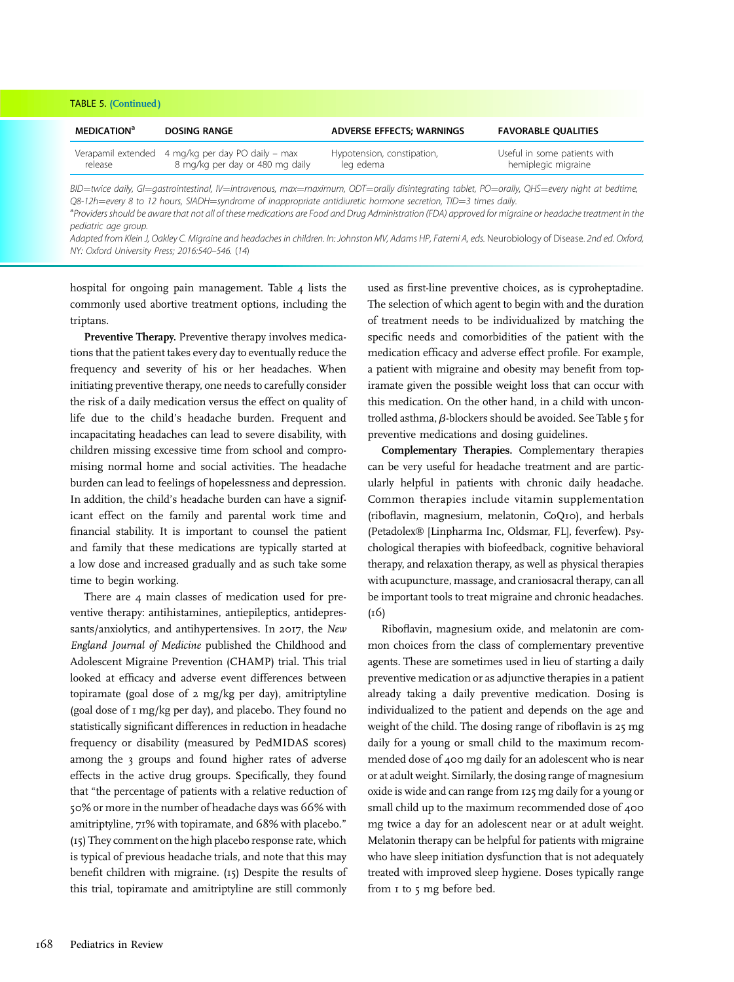| <b>TABLE 5. (Continued)</b>    |                                                                                      |                                         |                                                     |
|--------------------------------|--------------------------------------------------------------------------------------|-----------------------------------------|-----------------------------------------------------|
| <b>MEDICATION</b> <sup>a</sup> | <b>DOSING RANGE</b>                                                                  | <b>ADVERSE EFFECTS; WARNINGS</b>        | <b>FAVORABLE QUALITIES</b>                          |
| release                        | Verapamil extended 4 mg/kg per day PO daily - max<br>8 mg/kg per day or 480 mg daily | Hypotension, constipation,<br>leg edema | Useful in some patients with<br>hemiplegic migraine |
|                                |                                                                                      |                                         |                                                     |

BID=twice daily, GI=qastrointestinal, IV=intravenous, max=maximum, ODT=orally disintegrating tablet, PO=orally, QHS=every night at bedtime, Q8-12h=every 8 to 12 hours, SIADH=syndrome of inappropriate antidiuretic hormone secretion, TID=3 times daily.

<sup>a</sup> Providers should be aware that not all of these medications are Food and Drug Administration (FDA) approved for migraine or headache treatment in the pediatric age group.

Adapted from Klein J, Oakley C. Migraine and headaches in children. In: Johnston MV, Adams HP, Fatemi A, eds. Neurobiology of Disease. 2nd ed. Oxford, NY: Oxford University Press; 2016:540–546. (14)

hospital for ongoing pain management. Table 4 lists the commonly used abortive treatment options, including the triptans.

Preventive Therapy. Preventive therapy involves medications that the patient takes every day to eventually reduce the frequency and severity of his or her headaches. When initiating preventive therapy, one needs to carefully consider the risk of a daily medication versus the effect on quality of life due to the child's headache burden. Frequent and incapacitating headaches can lead to severe disability, with children missing excessive time from school and compromising normal home and social activities. The headache burden can lead to feelings of hopelessness and depression. In addition, the child's headache burden can have a significant effect on the family and parental work time and financial stability. It is important to counsel the patient and family that these medications are typically started at a low dose and increased gradually and as such take some time to begin working.

There are 4 main classes of medication used for preventive therapy: antihistamines, antiepileptics, antidepressants/anxiolytics, and antihypertensives. In 2017, the New England Journal of Medicine published the Childhood and Adolescent Migraine Prevention (CHAMP) trial. This trial looked at efficacy and adverse event differences between topiramate (goal dose of 2 mg/kg per day), amitriptyline (goal dose of 1 mg/kg per day), and placebo. They found no statistically significant differences in reduction in headache frequency or disability (measured by PedMIDAS scores) among the 3 groups and found higher rates of adverse effects in the active drug groups. Specifically, they found that "the percentage of patients with a relative reduction of 50% or more in the number of headache days was 66% with amitriptyline, 71% with topiramate, and 68% with placebo." (15) They comment on the high placebo response rate, which is typical of previous headache trials, and note that this may benefit children with migraine. (15) Despite the results of this trial, topiramate and amitriptyline are still commonly

used as first-line preventive choices, as is cyproheptadine. The selection of which agent to begin with and the duration of treatment needs to be individualized by matching the specific needs and comorbidities of the patient with the medication efficacy and adverse effect profile. For example, a patient with migraine and obesity may benefit from topiramate given the possible weight loss that can occur with this medication. On the other hand, in a child with uncontrolled asthma,  $\beta$ -blockers should be avoided. See Table 5 for preventive medications and dosing guidelines.

Complementary Therapies. Complementary therapies can be very useful for headache treatment and are particularly helpful in patients with chronic daily headache. Common therapies include vitamin supplementation (riboflavin, magnesium, melatonin, CoQ10), and herbals (Petadolex® [Linpharma Inc, Oldsmar, FL], feverfew). Psychological therapies with biofeedback, cognitive behavioral therapy, and relaxation therapy, as well as physical therapies with acupuncture, massage, and craniosacral therapy, can all be important tools to treat migraine and chronic headaches. (16)

Riboflavin, magnesium oxide, and melatonin are common choices from the class of complementary preventive agents. These are sometimes used in lieu of starting a daily preventive medication or as adjunctive therapies in a patient already taking a daily preventive medication. Dosing is individualized to the patient and depends on the age and weight of the child. The dosing range of riboflavin is 25 mg daily for a young or small child to the maximum recommended dose of 400 mg daily for an adolescent who is near or at adult weight. Similarly, the dosing range of magnesium oxide is wide and can range from 125 mg daily for a young or small child up to the maximum recommended dose of 400 mg twice a day for an adolescent near or at adult weight. Melatonin therapy can be helpful for patients with migraine who have sleep initiation dysfunction that is not adequately treated with improved sleep hygiene. Doses typically range from 1 to 5 mg before bed.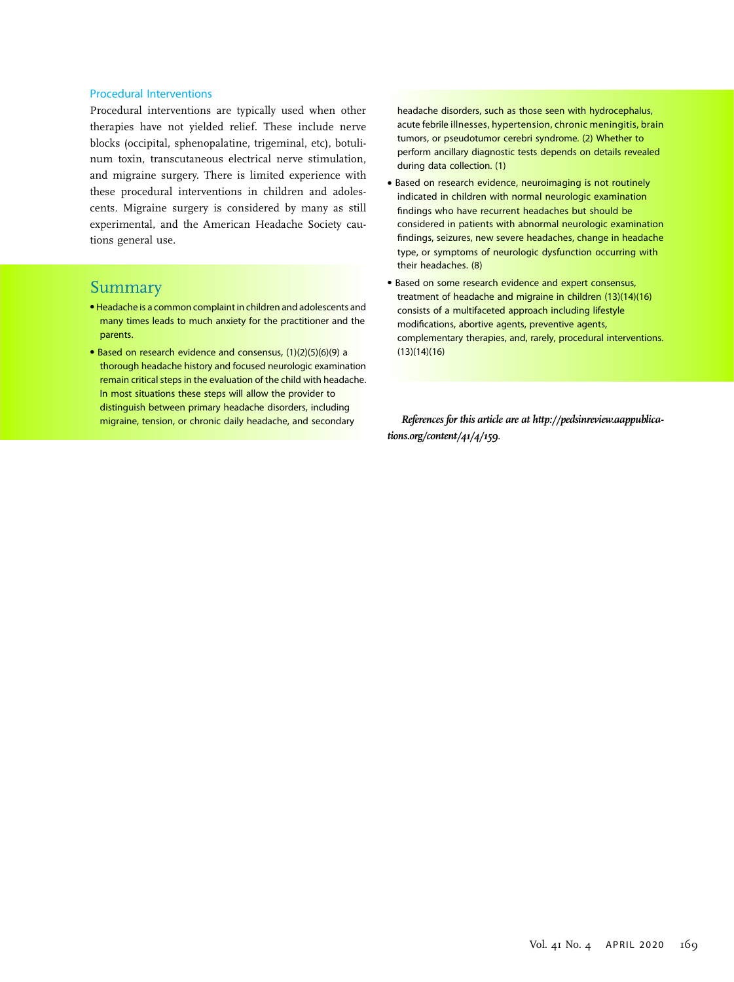#### Procedural Interventions

Procedural interventions are typically used when other therapies have not yielded relief. These include nerve blocks (occipital, sphenopalatine, trigeminal, etc), botulinum toxin, transcutaneous electrical nerve stimulation, and migraine surgery. There is limited experience with these procedural interventions in children and adolescents. Migraine surgery is considered by many as still experimental, and the American Headache Society cautions general use.

#### Summary

- Headache is a common complaint in children and adolescents and many times leads to much anxiety for the practitioner and the parents.
- Based on research evidence and consensus, (1)(2)(5)(6)(9) a thorough headache history and focused neurologic examination remain critical steps in the evaluation of the child with headache. In most situations these steps will allow the provider to distinguish between primary headache disorders, including migraine, tension, or chronic daily headache, and secondary

headache disorders, such as those seen with hydrocephalus, acute febrile illnesses, hypertension, chronic meningitis, brain tumors, or pseudotumor cerebri syndrome. (2) Whether to perform ancillary diagnostic tests depends on details revealed during data collection. (1)

- Based on research evidence, neuroimaging is not routinely indicated in children with normal neurologic examination findings who have recurrent headaches but should be considered in patients with abnormal neurologic examination findings, seizures, new severe headaches, change in headache type, or symptoms of neurologic dysfunction occurring with their headaches. (8)
- Based on some research evidence and expert consensus, treatment of headache and migraine in children (13)(14)(16) consists of a multifaceted approach including lifestyle modifications, abortive agents, preventive agents, complementary therapies, and, rarely, procedural interventions. (13)(14)(16)

References for this article are at [http://pedsinreview.aappublica](http://pedsinreview.aappublications.org/content/41/4/159)[tions.org/content/41/4/159](http://pedsinreview.aappublications.org/content/41/4/159).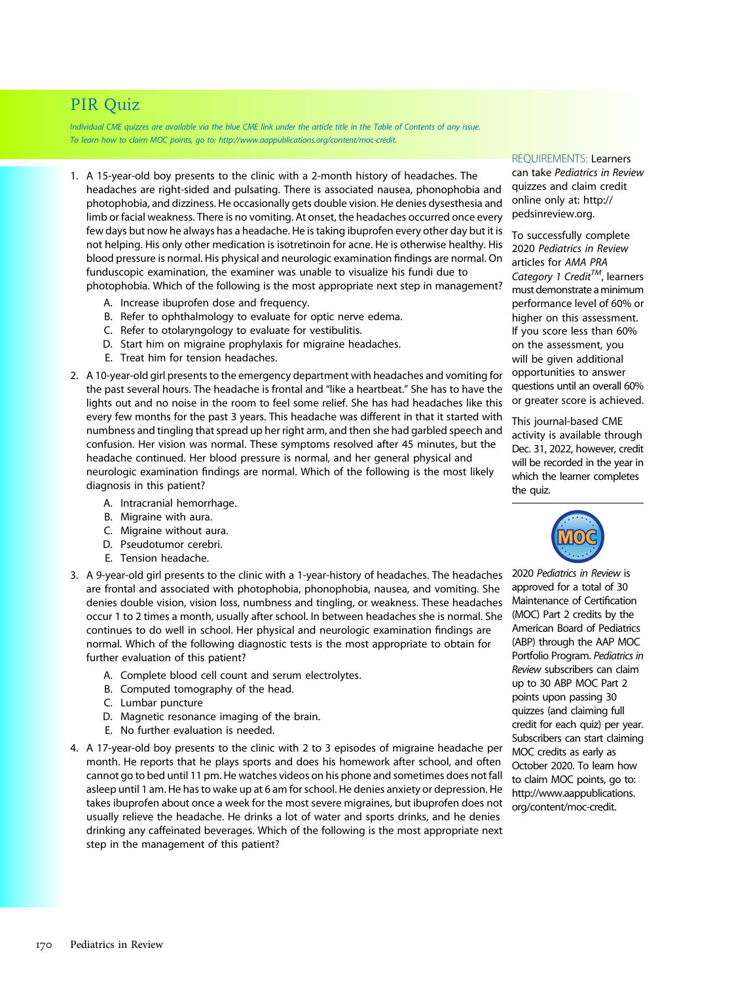# PIR Quiz

Individual CME quizzes are available via the blue CME link under the article title in the Table of Contents of any issue. To learn how to claim MOC points, go to: [http://www.aappublications.org/content/moc-credit.](http://www.aappublications.org/content/moc-credit)

- 1. A 15-year-old boy presents to the clinic with a 2-month history of headaches. The headaches are right-sided and pulsating. There is associated nausea, phonophobia and photophobia, and dizziness. He occasionally gets double vision. He denies dysesthesia and limb or facial weakness. There is no vomiting. At onset, the headaches occurred once every few days but now he always has a headache. He is taking ibuprofen every other day but it is not helping. His only other medication is isotretinoin for acne. He is otherwise healthy. His blood pressure is normal. His physical and neurologic examination findings are normal. On funduscopic examination, the examiner was unable to visualize his fundi due to photophobia. Which of the following is the most appropriate next step in management?
	- A. Increase ibuprofen dose and frequency.
	- B. Refer to ophthalmology to evaluate for optic nerve edema.
	- C. Refer to otolaryngology to evaluate for vestibulitis.
	- D. Start him on migraine prophylaxis for migraine headaches.
	- E. Treat him for tension headaches.
- 2. A 10-year-old girl presents to the emergency department with headaches and vomiting for the past several hours. The headache is frontal and "like a heartbeat." She has to have the lights out and no noise in the room to feel some relief. She has had headaches like this every few months for the past 3 years. This headache was different in that it started with numbness and tingling that spread up her right arm, and then she had garbled speech and confusion. Her vision was normal. These symptoms resolved after 45 minutes, but the headache continued. Her blood pressure is normal, and her general physical and neurologic examination findings are normal. Which of the following is the most likely diagnosis in this patient?
	- A. Intracranial hemorrhage.
	- B. Migraine with aura.
	- C. Migraine without aura.
	- D. Pseudotumor cerebri.
	- E. Tension headache.
- 3. A 9-year-old girl presents to the clinic with a 1-year-history of headaches. The headaches are frontal and associated with photophobia, phonophobia, nausea, and vomiting. She denies double vision, vision loss, numbness and tingling, or weakness. These headaches occur 1 to 2 times a month, usually after school. In between headaches she is normal. She continues to do well in school. Her physical and neurologic examination findings are normal. Which of the following diagnostic tests is the most appropriate to obtain for further evaluation of this patient?
	- A. Complete blood cell count and serum electrolytes.
	- B. Computed tomography of the head.
	- C. Lumbar puncture
	- D. Magnetic resonance imaging of the brain.
	- E. No further evaluation is needed.
- 4. A 17-year-old boy presents to the clinic with 2 to 3 episodes of migraine headache per month. He reports that he plays sports and does his homework after school, and often cannot go to bed until 11 pm. He watches videos on his phone and sometimes does not fall asleep until 1 am. He has to wake up at 6 am for school. He denies anxiety or depression. He takes ibuprofen about once a week for the most severe migraines, but ibuprofen does not usually relieve the headache. He drinks a lot of water and sports drinks, and he denies drinking any caffeinated beverages. Which of the following is the most appropriate next step in the management of this patient?

REQUIREMENTS: Learners can take Pediatrics in Review quizzes and claim credit online only at: [http://](http://pedsinreview.org) [pedsinreview.org](http://pedsinreview.org).

To successfully complete 2020 Pediatrics in Review articles for AMA PRA Category 1 Credit<sup>TM</sup>, learners must demonstrate aminimum performance level of 60% or higher on this assessment. If you score less than 60% on the assessment, you will be given additional opportunities to answer questions until an overall 60% or greater score is achieved.

This journal-based CME activity is available through Dec. 31, 2022, however, credit will be recorded in the year in which the learner completes the quiz.



2020 Pediatrics in Review is approved for a total of 30 Maintenance of Certification (MOC) Part 2 credits by the American Board of Pediatrics (ABP) through the AAP MOC Portfolio Program. Pediatrics in Review subscribers can claim up to 30 ABP MOC Part 2 points upon passing 30 quizzes (and claiming full credit for each quiz) per year. Subscribers can start claiming MOC credits as early as October 2020. To learn how to claim MOC points, go to: [http://www.aappublications.](http://www.aappublications.org/content/moc-credit) [org/content/moc-credit.](http://www.aappublications.org/content/moc-credit)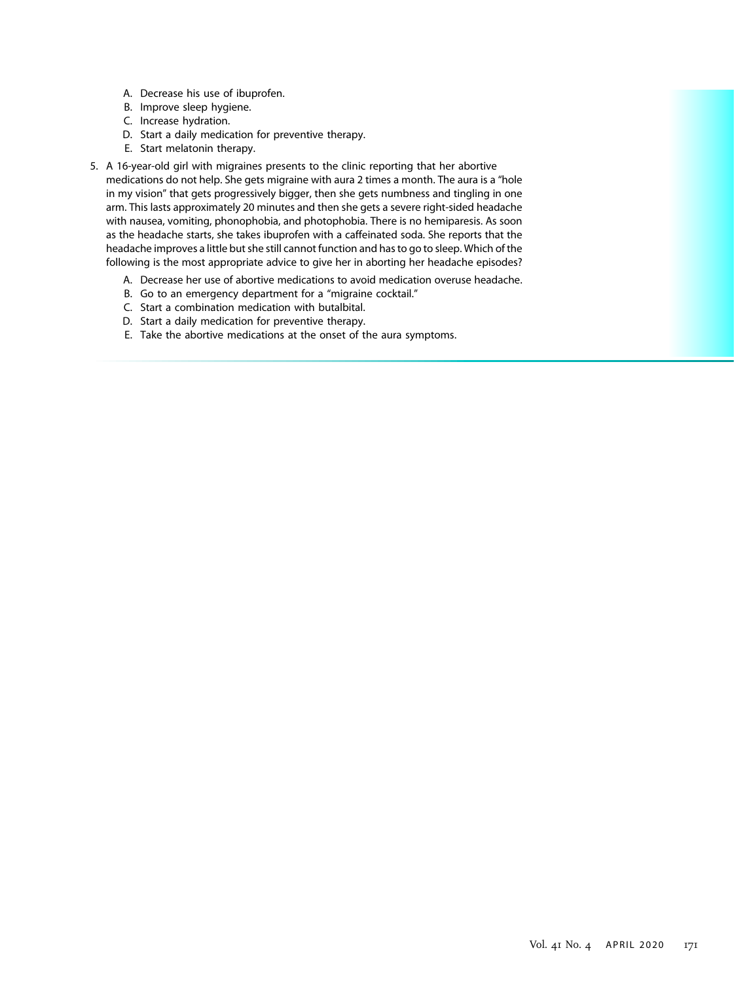- A. Decrease his use of ibuprofen.
- B. Improve sleep hygiene.
- C. Increase hydration.
- D. Start a daily medication for preventive therapy.
- E. Start melatonin therapy.
- 5. A 16-year-old girl with migraines presents to the clinic reporting that her abortive medications do not help. She gets migraine with aura 2 times a month. The aura is a "hole in my vision" that gets progressively bigger, then she gets numbness and tingling in one arm. This lasts approximately 20 minutes and then she gets a severe right-sided headache with nausea, vomiting, phonophobia, and photophobia. There is no hemiparesis. As soon as the headache starts, she takes ibuprofen with a caffeinated soda. She reports that the headache improves a little but she still cannot function and has to go to sleep. Which of the following is the most appropriate advice to give her in aborting her headache episodes?
	- A. Decrease her use of abortive medications to avoid medication overuse headache.
	- B. Go to an emergency department for a "migraine cocktail."
	- C. Start a combination medication with butalbital.
	- D. Start a daily medication for preventive therapy.
	- E. Take the abortive medications at the onset of the aura symptoms.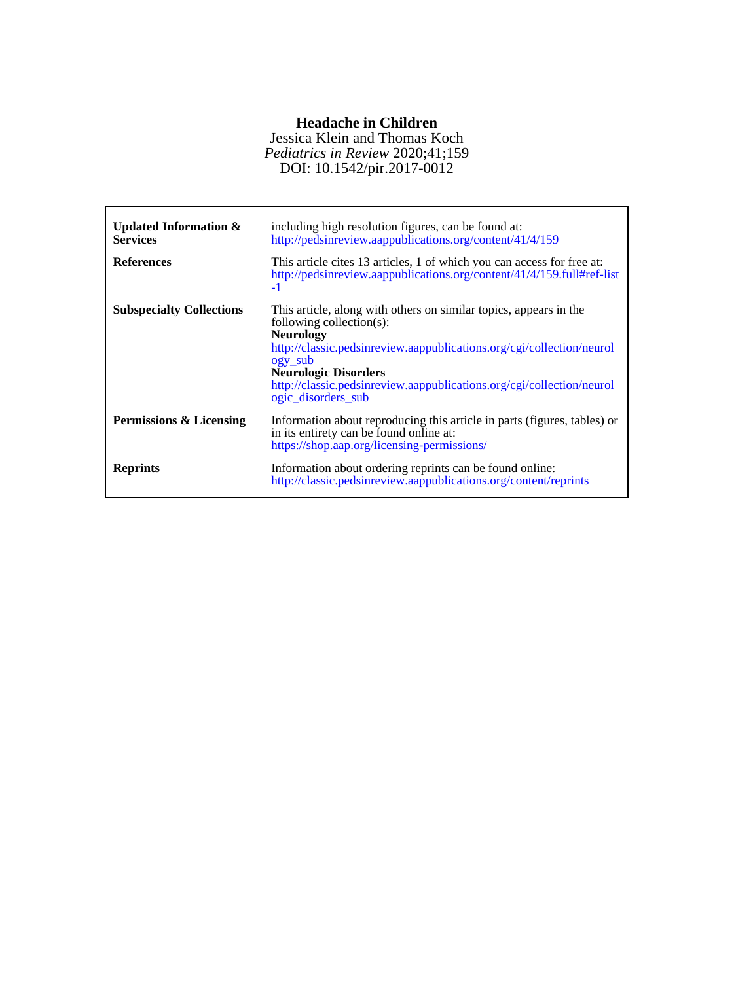## **Headache in Children**

DOI: 10.1542/pir.2017-0012 *Pediatrics in Review* 2020;41;159 Jessica Klein and Thomas Koch

| <b>Updated Information &amp;</b><br><b>Services</b> | including high resolution figures, can be found at:<br>http://pedsinreview.aappublications.org/content/41/4/159                                                                                                                                                                                                                         |
|-----------------------------------------------------|-----------------------------------------------------------------------------------------------------------------------------------------------------------------------------------------------------------------------------------------------------------------------------------------------------------------------------------------|
| <b>References</b>                                   | This article cites 13 articles, 1 of which you can access for free at:<br>http://pedsinreview.aappublications.org/content/41/4/159.full#ref-list<br>-1                                                                                                                                                                                  |
| <b>Subspecialty Collections</b>                     | This article, along with others on similar topics, appears in the<br>following collection $(s)$ :<br><b>Neurology</b><br>http://classic.pedsinreview.aappublications.org/cgi/collection/neurol<br>ogy sub<br><b>Neurologic Disorders</b><br>http://classic.pedsinreview.aappublications.org/cgi/collection/neurol<br>ogic_disorders_sub |
| Permissions & Licensing                             | Information about reproducing this article in parts (figures, tables) or<br>in its entirety can be found online at:<br>https://shop.aap.org/licensing-permissions/                                                                                                                                                                      |
| <b>Reprints</b>                                     | Information about ordering reprints can be found online:<br>http://classic.pedsinreview.aappublications.org/content/reprints                                                                                                                                                                                                            |